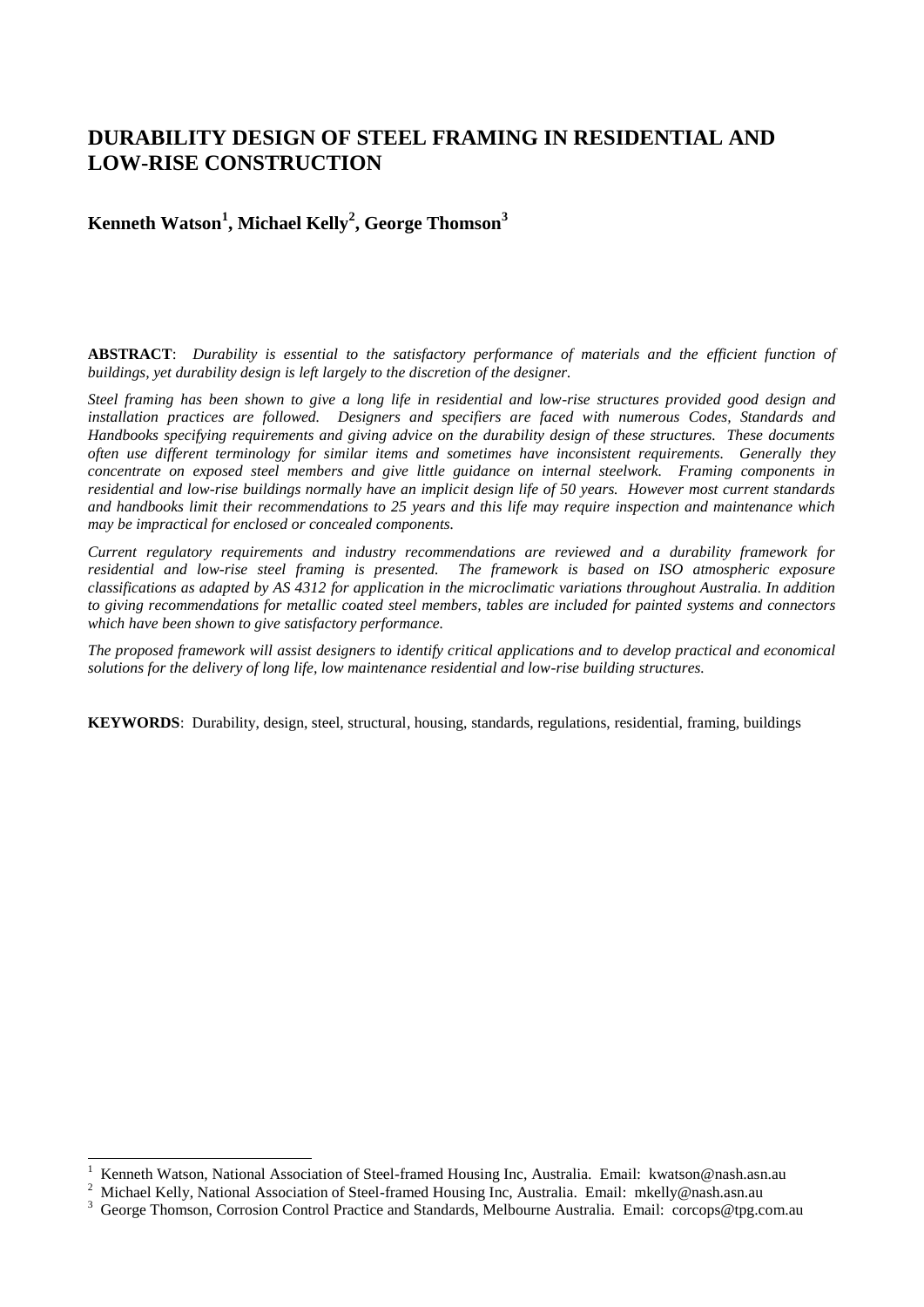# **DURABILITY DESIGN OF STEEL FRAMING IN RESIDENTIAL AND LOW-RISE CONSTRUCTION**

# **Kenneth Watson<sup>1</sup> , Michael Kelly<sup>2</sup> , George Thomson<sup>3</sup>**

**ABSTRACT**: *Durability is essential to the satisfactory performance of materials and the efficient function of buildings, yet durability design is left largely to the discretion of the designer.*

*Steel framing has been shown to give a long life in residential and low-rise structures provided good design and installation practices are followed. Designers and specifiers are faced with numerous Codes, Standards and Handbooks specifying requirements and giving advice on the durability design of these structures. These documents often use different terminology for similar items and sometimes have inconsistent requirements. Generally they concentrate on exposed steel members and give little guidance on internal steelwork. Framing components in residential and low-rise buildings normally have an implicit design life of 50 years. However most current standards and handbooks limit their recommendations to 25 years and this life may require inspection and maintenance which may be impractical for enclosed or concealed components.*

*Current regulatory requirements and industry recommendations are reviewed and a durability framework for residential and low-rise steel framing is presented. The framework is based on ISO atmospheric exposure classifications as adapted by AS 4312 for application in the microclimatic variations throughout Australia. In addition to giving recommendations for metallic coated steel members, tables are included for painted systems and connectors which have been shown to give satisfactory performance.*

*The proposed framework will assist designers to identify critical applications and to develop practical and economical solutions for the delivery of long life, low maintenance residential and low-rise building structures.*

**KEYWORDS**: Durability, design, steel, structural, housing, standards, regulations, residential, framing, buildings

-

<sup>1</sup> Kenneth Watson, National Association of Steel-framed Housing Inc, Australia. Email: kwatson@nash.asn.au

<sup>2</sup> Michael Kelly, National Association of Steel-framed Housing Inc, Australia. Email: mkelly@nash.asn.au

<sup>3</sup> George Thomson, Corrosion Control Practice and Standards, Melbourne Australia. Email: corcops@tpg.com.au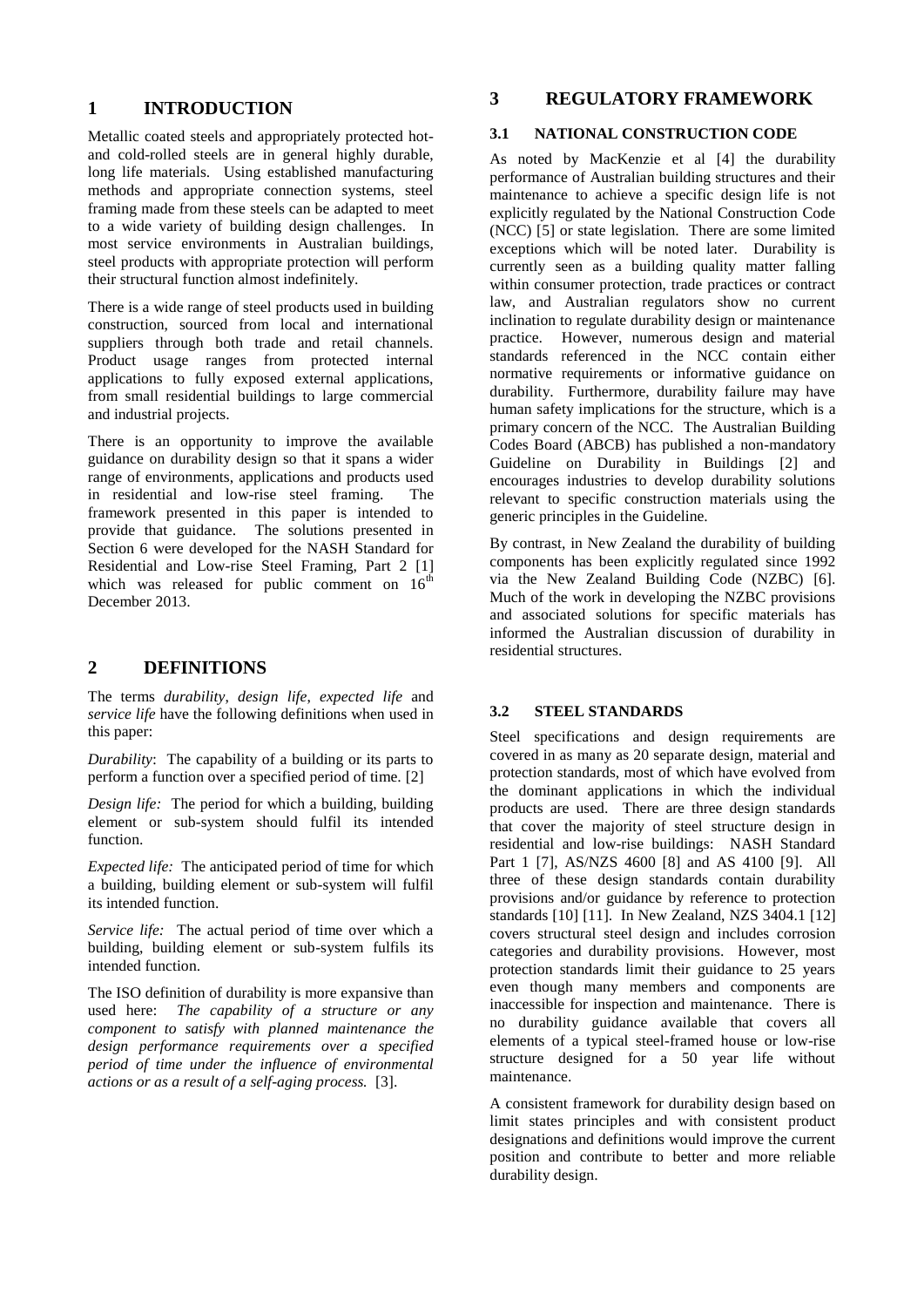# **1 INTRODUCTION**

Metallic coated steels and appropriately protected hotand cold-rolled steels are in general highly durable, long life materials. Using established manufacturing methods and appropriate connection systems, steel framing made from these steels can be adapted to meet to a wide variety of building design challenges. In most service environments in Australian buildings, steel products with appropriate protection will perform their structural function almost indefinitely.

There is a wide range of steel products used in building construction, sourced from local and international suppliers through both trade and retail channels. Product usage ranges from protected internal applications to fully exposed external applications, from small residential buildings to large commercial and industrial projects.

There is an opportunity to improve the available guidance on durability design so that it spans a wider range of environments, applications and products used in residential and low-rise steel framing. The framework presented in this paper is intended to provide that guidance. The solutions presented in Section 6 were developed for the NASH Standard for Residential and Low-rise Steel Framing, Part 2 [1] which was released for public comment on  $16<sup>th</sup>$ December 2013.

# **2 DEFINITIONS**

The terms *durability*, *design life*, *expected life* and *service life* have the following definitions when used in this paper:

*Durability*: The capability of a building or its parts to perform a function over a specified period of time. [2]

*Design life:* The period for which a building, building element or sub-system should fulfil its intended function.

*Expected life:* The anticipated period of time for which a building, building element or sub-system will fulfil its intended function.

*Service life:* The actual period of time over which a building, building element or sub-system fulfils its intended function.

The ISO definition of durability is more expansive than used here: *The capability of a structure or any component to satisfy with planned maintenance the design performance requirements over a specified period of time under the influence of environmental actions or as a result of a self-aging process.* [3].

# **3 REGULATORY FRAMEWORK**

#### **3.1 NATIONAL CONSTRUCTION CODE**

As noted by MacKenzie et al [4] the durability performance of Australian building structures and their maintenance to achieve a specific design life is not explicitly regulated by the National Construction Code (NCC) [5] or state legislation. There are some limited exceptions which will be noted later. Durability is currently seen as a building quality matter falling within consumer protection, trade practices or contract law, and Australian regulators show no current inclination to regulate durability design or maintenance practice. However, numerous design and material standards referenced in the NCC contain either normative requirements or informative guidance on durability. Furthermore, durability failure may have human safety implications for the structure, which is a primary concern of the NCC. The Australian Building Codes Board (ABCB) has published a non-mandatory Guideline on Durability in Buildings [2] and encourages industries to develop durability solutions relevant to specific construction materials using the generic principles in the Guideline.

By contrast, in New Zealand the durability of building components has been explicitly regulated since 1992 via the New Zealand Building Code (NZBC) [6]. Much of the work in developing the NZBC provisions and associated solutions for specific materials has informed the Australian discussion of durability in residential structures.

#### **3.2 STEEL STANDARDS**

Steel specifications and design requirements are covered in as many as 20 separate design, material and protection standards, most of which have evolved from the dominant applications in which the individual products are used. There are three design standards that cover the majority of steel structure design in residential and low-rise buildings: NASH Standard Part 1 [7], AS/NZS 4600 [8] and AS 4100 [9]. All three of these design standards contain durability provisions and/or guidance by reference to protection standards [10] [11]. In New Zealand, NZS 3404.1 [12] covers structural steel design and includes corrosion categories and durability provisions. However, most protection standards limit their guidance to 25 years even though many members and components are inaccessible for inspection and maintenance. There is no durability guidance available that covers all elements of a typical steel-framed house or low-rise structure designed for a 50 year life without maintenance.

A consistent framework for durability design based on limit states principles and with consistent product designations and definitions would improve the current position and contribute to better and more reliable durability design.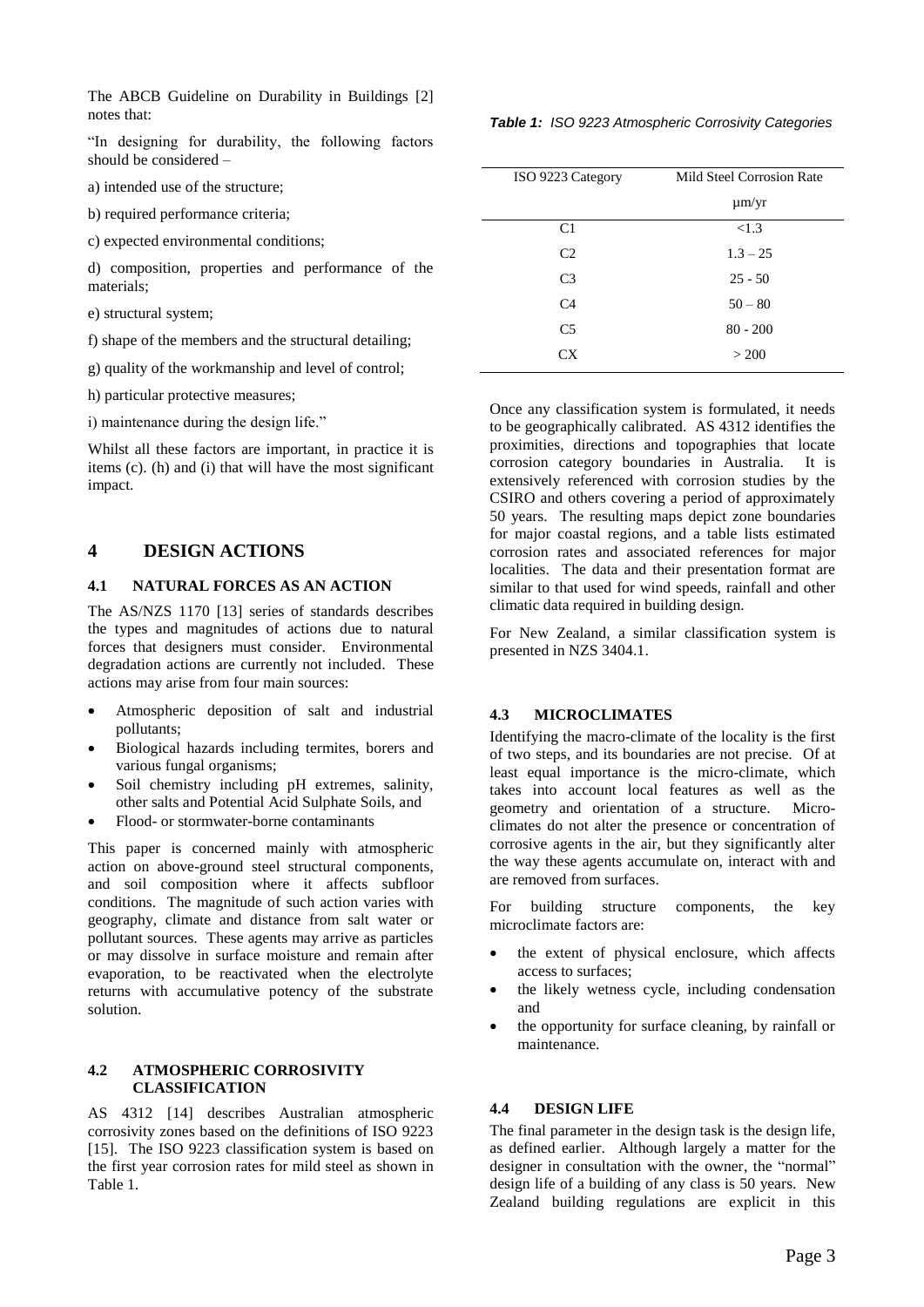The ABCB Guideline on Durability in Buildings [2] notes that:

"In designing for durability, the following factors should be considered –

a) intended use of the structure;

b) required performance criteria;

c) expected environmental conditions;

d) composition, properties and performance of the materials;

- e) structural system;
- f) shape of the members and the structural detailing;

g) quality of the workmanship and level of control;

h) particular protective measures;

i) maintenance during the design life."

Whilst all these factors are important, in practice it is items (c). (h) and (i) that will have the most significant impact.

## **4 DESIGN ACTIONS**

## **4.1 NATURAL FORCES AS AN ACTION**

The AS/NZS 1170 [13] series of standards describes the types and magnitudes of actions due to natural forces that designers must consider. Environmental degradation actions are currently not included. These actions may arise from four main sources:

- Atmospheric deposition of salt and industrial pollutants;
- Biological hazards including termites, borers and various fungal organisms;
- Soil chemistry including pH extremes, salinity, other salts and Potential Acid Sulphate Soils, and
- Flood- or stormwater-borne contaminants

This paper is concerned mainly with atmospheric action on above-ground steel structural components, and soil composition where it affects subfloor conditions. The magnitude of such action varies with geography, climate and distance from salt water or pollutant sources. These agents may arrive as particles or may dissolve in surface moisture and remain after evaporation, to be reactivated when the electrolyte returns with accumulative potency of the substrate solution.

#### **4.2 ATMOSPHERIC CORROSIVITY CLASSIFICATION**

AS 4312 [14] describes Australian atmospheric corrosivity zones based on the definitions of ISO 9223 [15]. The ISO 9223 classification system is based on the first year corrosion rates for mild steel as shown in Table 1.

|  |  | Table 1: ISO 9223 Atmospheric Corrosivity Categories |  |  |
|--|--|------------------------------------------------------|--|--|
|--|--|------------------------------------------------------|--|--|

| ISO 9223 Category | Mild Steel Corrosion Rate |
|-------------------|---------------------------|
|                   |                           |
|                   | $\mu$ m/yr                |
| C1                | < 1.3                     |
| C <sub>2</sub>    | $1.3 - 25$                |
| C <sub>3</sub>    | $25 - 50$                 |
| C <sub>4</sub>    | $50 - 80$                 |
| C <sub>5</sub>    | $80 - 200$                |
| CX                | > 200                     |
|                   |                           |

Once any classification system is formulated, it needs to be geographically calibrated. AS 4312 identifies the proximities, directions and topographies that locate corrosion category boundaries in Australia. It is extensively referenced with corrosion studies by the CSIRO and others covering a period of approximately 50 years. The resulting maps depict zone boundaries for major coastal regions, and a table lists estimated corrosion rates and associated references for major localities. The data and their presentation format are similar to that used for wind speeds, rainfall and other climatic data required in building design.

For New Zealand, a similar classification system is presented in NZS 3404.1.

#### **4.3 MICROCLIMATES**

Identifying the macro-climate of the locality is the first of two steps, and its boundaries are not precise. Of at least equal importance is the micro-climate, which takes into account local features as well as the geometry and orientation of a structure. Microclimates do not alter the presence or concentration of corrosive agents in the air, but they significantly alter the way these agents accumulate on, interact with and are removed from surfaces.

For building structure components, the key microclimate factors are:

- the extent of physical enclosure, which affects access to surfaces;
- the likely wetness cycle, including condensation and
- the opportunity for surface cleaning, by rainfall or maintenance.

#### **4.4 DESIGN LIFE**

The final parameter in the design task is the design life, as defined earlier. Although largely a matter for the designer in consultation with the owner, the "normal" design life of a building of any class is 50 years. New Zealand building regulations are explicit in this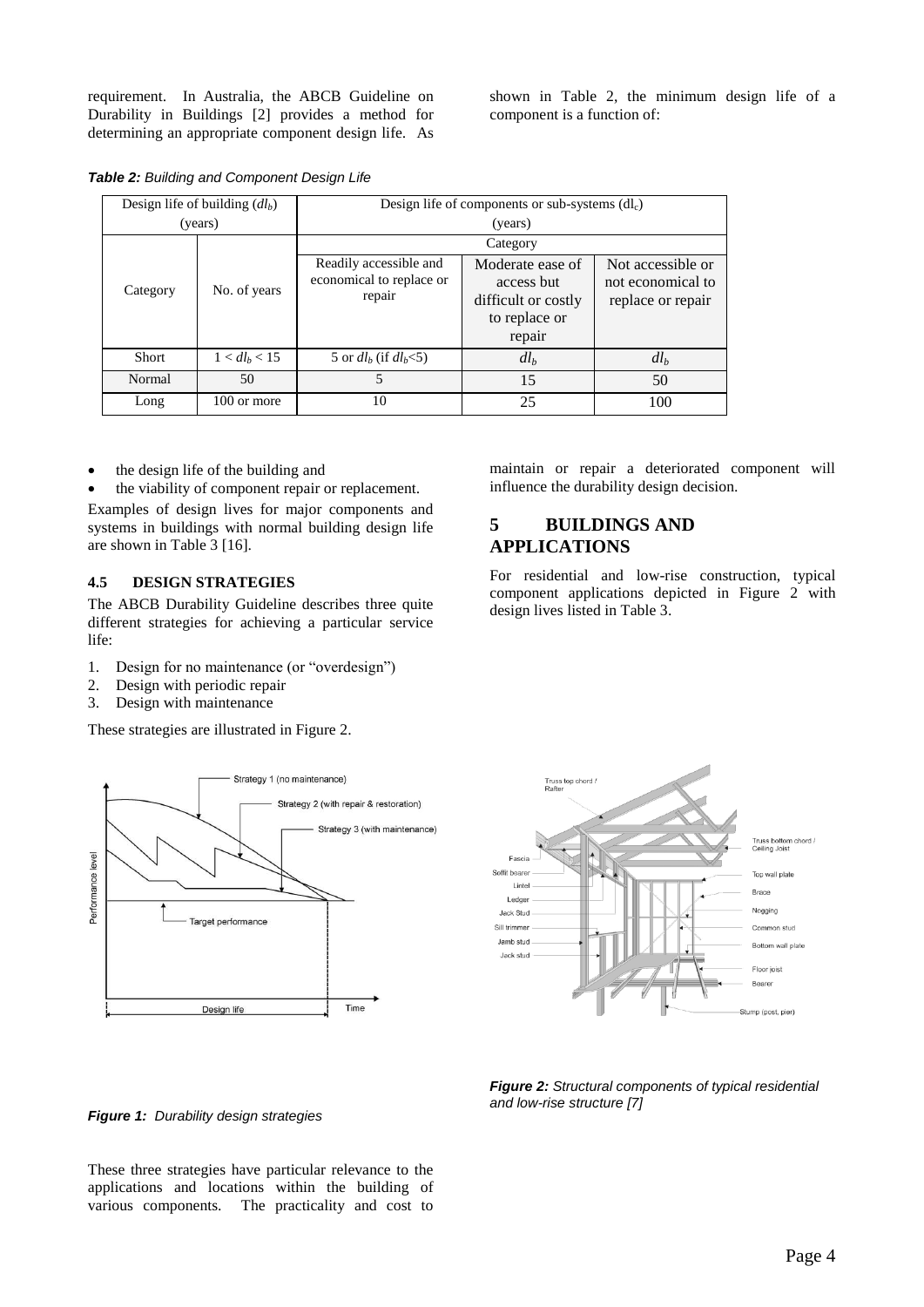requirement. In Australia, the ABCB Guideline on Durability in Buildings [2] provides a method for determining an appropriate component design life. As shown in Table 2, the minimum design life of a component is a function of:

*Table 2: Building and Component Design Life*

| Design life of building $(dl_h)$ |                 | Design life of components or sub-systems $dl_c$ )            |                                                                                  |                                                             |  |
|----------------------------------|-----------------|--------------------------------------------------------------|----------------------------------------------------------------------------------|-------------------------------------------------------------|--|
| (years)                          |                 | (years)                                                      |                                                                                  |                                                             |  |
|                                  |                 |                                                              | Category                                                                         |                                                             |  |
| Category                         | No. of years    | Readily accessible and<br>economical to replace or<br>repair | Moderate ease of<br>access but<br>difficult or costly<br>to replace or<br>repair | Not accessible or<br>not economical to<br>replace or repair |  |
| <b>Short</b>                     | $1 < dl_b < 15$ | 5 or $dl_h$ (if $dl_h$ < 5)                                  | dl <sub>b</sub>                                                                  | dl <sub>b</sub>                                             |  |
| Normal                           | 50              |                                                              | 15                                                                               | 50                                                          |  |
| Long                             | 100 or more     | 10                                                           | 25                                                                               | 100                                                         |  |

the design life of the building and

• the viability of component repair or replacement.

Examples of design lives for major components and systems in buildings with normal building design life are shown in Table 3 [16].

#### **4.5 DESIGN STRATEGIES**

The ABCB Durability Guideline describes three quite different strategies for achieving a particular service life:

- 1. Design for no maintenance (or "overdesign")
- 2. Design with periodic repair
- 3. Design with maintenance

These strategies are illustrated in Figure 2.





# **5 BUILDINGS AND APPLICATIONS**

For residential and low-rise construction, typical component applications depicted in Figure 2 with design lives listed in Table 3.



*Figure 2: Structural components of typical residential and low-rise structure [7]*

*Figure 1: Durability design strategies*

These three strategies have particular relevance to the applications and locations within the building of various components. The practicality and cost to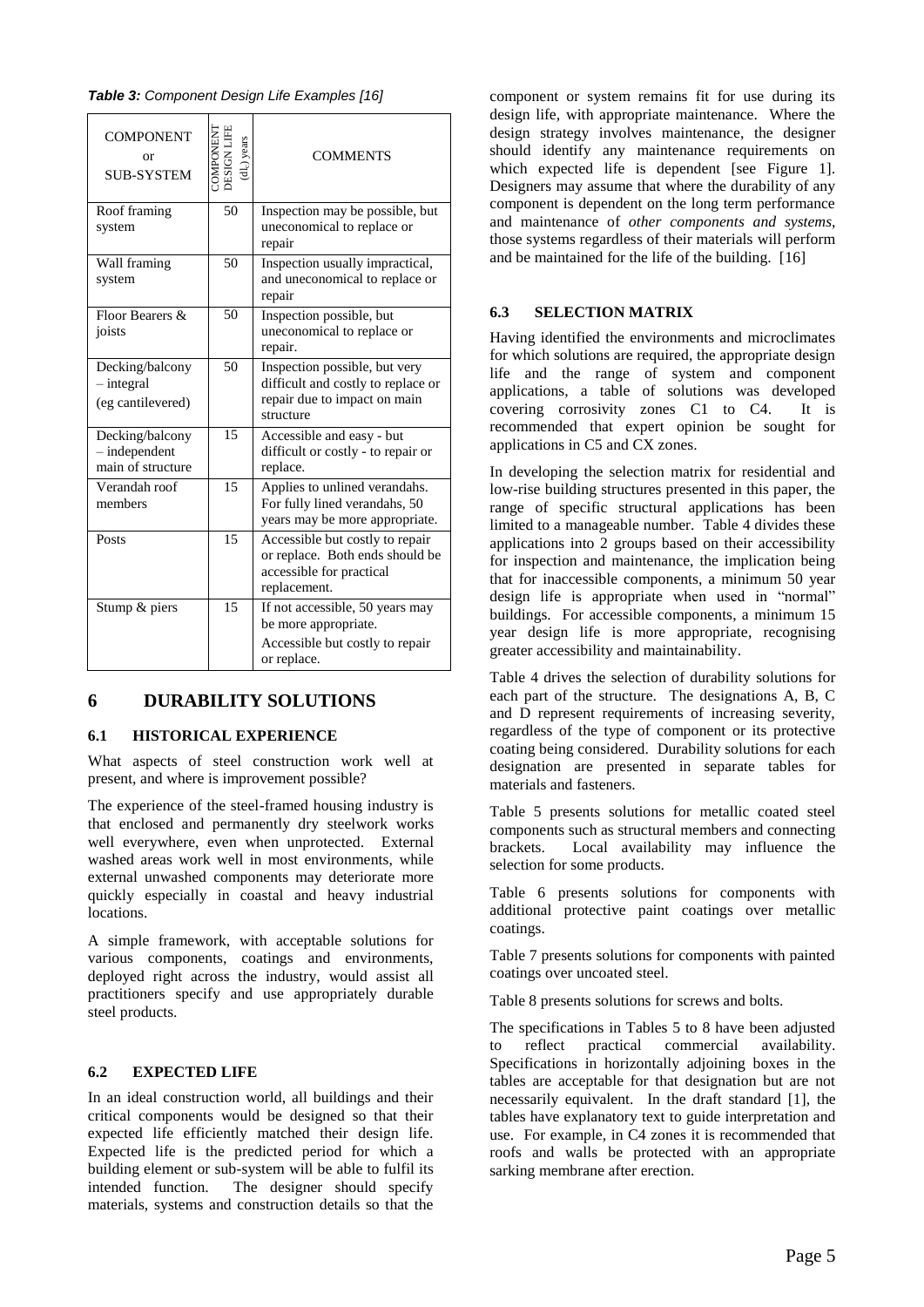|  | Table 3: Component Design Life Examples [16] |  |  |  |
|--|----------------------------------------------|--|--|--|
|--|----------------------------------------------|--|--|--|

| <b>COMPONENT</b><br>Ωr<br><b>SUB-SYSTEM</b>             | DESIGN LIFE<br>COMPONENT<br>(dlc) years | <b>COMMENTS</b>                                                                                                  |
|---------------------------------------------------------|-----------------------------------------|------------------------------------------------------------------------------------------------------------------|
| Roof framing<br>system                                  | 50                                      | Inspection may be possible, but<br>uneconomical to replace or<br>repair                                          |
| Wall framing<br>system                                  | 50                                      | Inspection usually impractical,<br>and uneconomical to replace or<br>repair                                      |
| Floor Bearers &<br>joists                               | 50                                      | Inspection possible, but<br>uneconomical to replace or<br>repair.                                                |
| Decking/balcony<br>$-$ integral<br>(eg cantilevered)    | 50                                      | Inspection possible, but very<br>difficult and costly to replace or<br>repair due to impact on main<br>structure |
| Decking/balcony<br>$-$ independent<br>main of structure | 15                                      | Accessible and easy - but<br>difficult or costly - to repair or<br>replace.                                      |
| Verandah roof<br>members                                | 15                                      | Applies to unlined verandahs.<br>For fully lined verandahs, 50<br>years may be more appropriate.                 |
| Posts                                                   | 15                                      | Accessible but costly to repair<br>or replace. Both ends should be<br>accessible for practical<br>replacement.   |
| Stump & piers                                           | 15                                      | If not accessible, 50 years may<br>be more appropriate.<br>Accessible but costly to repair<br>or replace.        |

# **6 DURABILITY SOLUTIONS**

## **6.1 HISTORICAL EXPERIENCE**

What aspects of steel construction work well at present, and where is improvement possible?

The experience of the steel-framed housing industry is that enclosed and permanently dry steelwork works well everywhere, even when unprotected. External washed areas work well in most environments, while external unwashed components may deteriorate more quickly especially in coastal and heavy industrial locations.

A simple framework, with acceptable solutions for various components, coatings and environments, deployed right across the industry, would assist all practitioners specify and use appropriately durable steel products.

#### **6.2 EXPECTED LIFE**

In an ideal construction world, all buildings and their critical components would be designed so that their expected life efficiently matched their design life. Expected life is the predicted period for which a building element or sub-system will be able to fulfil its intended function. The designer should specify materials, systems and construction details so that the

component or system remains fit for use during its design life, with appropriate maintenance. Where the design strategy involves maintenance, the designer should identify any maintenance requirements on which expected life is dependent [see Figure 1]. Designers may assume that where the durability of any component is dependent on the long term performance and maintenance of *other components and systems*, those systems regardless of their materials will perform and be maintained for the life of the building. [16]

# **6.3 SELECTION MATRIX**

Having identified the environments and microclimates for which solutions are required, the appropriate design life and the range of system and component applications, a table of solutions was developed covering corrosivity zones C1 to C4. It is recommended that expert opinion be sought for applications in C5 and CX zones.

In developing the selection matrix for residential and low-rise building structures presented in this paper, the range of specific structural applications has been limited to a manageable number. Table 4 divides these applications into 2 groups based on their accessibility for inspection and maintenance, the implication being that for inaccessible components, a minimum 50 year design life is appropriate when used in "normal" buildings. For accessible components, a minimum 15 year design life is more appropriate, recognising greater accessibility and maintainability.

Table 4 drives the selection of durability solutions for each part of the structure. The designations A, B, C and D represent requirements of increasing severity, regardless of the type of component or its protective coating being considered. Durability solutions for each designation are presented in separate tables for materials and fasteners.

Table 5 presents solutions for metallic coated steel components such as structural members and connecting brackets. Local availability may influence the selection for some products.

Table 6 presents solutions for components with additional protective paint coatings over metallic coatings.

Table 7 presents solutions for components with painted coatings over uncoated steel.

Table 8 presents solutions for screws and bolts.

The specifications in Tables 5 to 8 have been adjusted to reflect practical commercial availability. Specifications in horizontally adjoining boxes in the tables are acceptable for that designation but are not necessarily equivalent. In the draft standard [1], the tables have explanatory text to guide interpretation and use. For example, in C4 zones it is recommended that roofs and walls be protected with an appropriate sarking membrane after erection.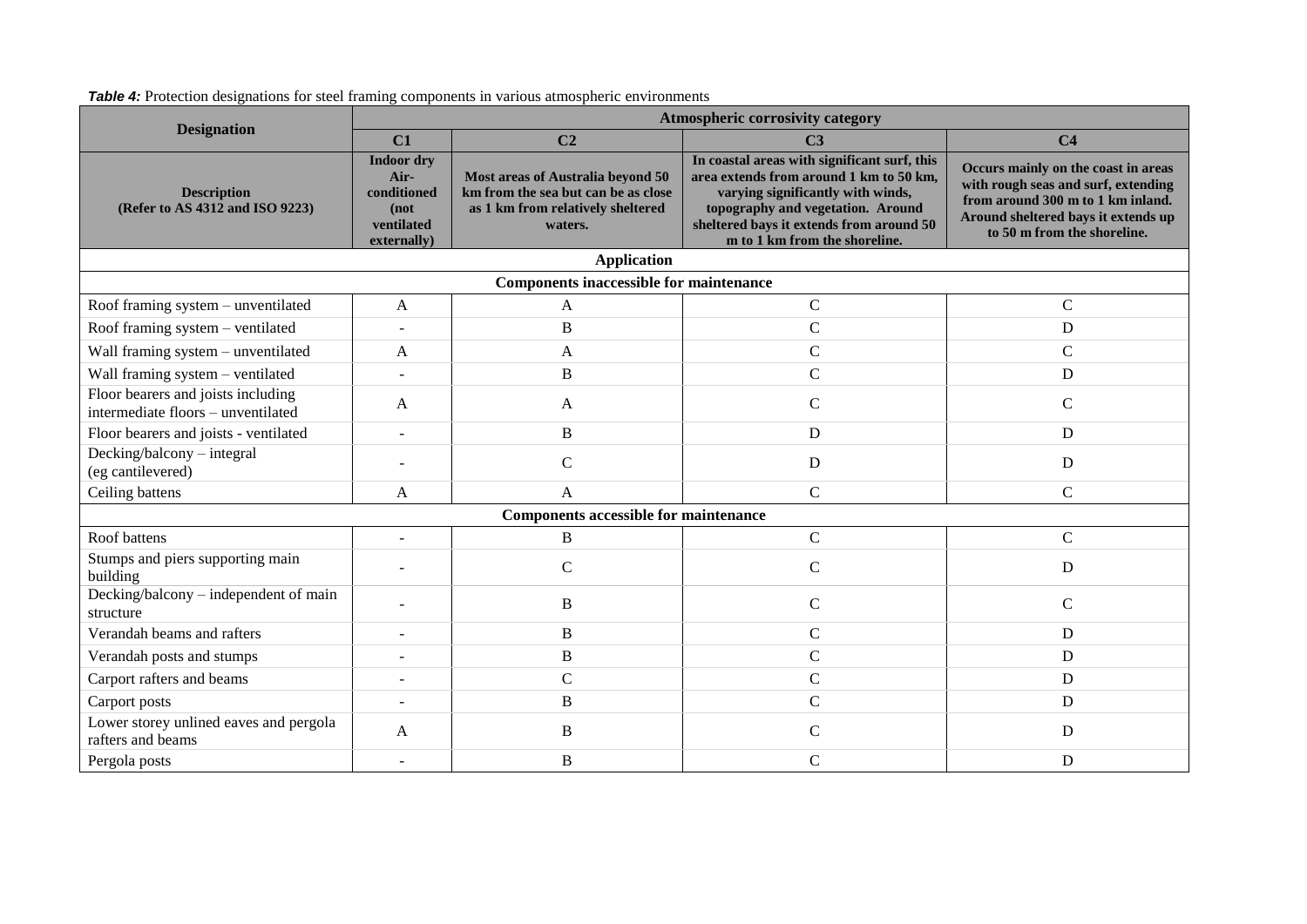|                                                                          | Atmospheric corrosivity category                                              |                                                                                                                          |                                                                                                                                                                                                                                                |                                                                                                                                                                                       |  |
|--------------------------------------------------------------------------|-------------------------------------------------------------------------------|--------------------------------------------------------------------------------------------------------------------------|------------------------------------------------------------------------------------------------------------------------------------------------------------------------------------------------------------------------------------------------|---------------------------------------------------------------------------------------------------------------------------------------------------------------------------------------|--|
| <b>Designation</b>                                                       | C1                                                                            | C <sub>2</sub>                                                                                                           | C <sub>3</sub>                                                                                                                                                                                                                                 | C <sub>4</sub>                                                                                                                                                                        |  |
| <b>Description</b><br>(Refer to AS 4312 and ISO 9223)                    | <b>Indoor dry</b><br>Air-<br>conditioned<br>(not<br>ventilated<br>externally) | Most areas of Australia beyond 50<br>km from the sea but can be as close<br>as 1 km from relatively sheltered<br>waters. | In coastal areas with significant surf, this<br>area extends from around 1 km to 50 km,<br>varying significantly with winds,<br>topography and vegetation. Around<br>sheltered bays it extends from around 50<br>m to 1 km from the shoreline. | Occurs mainly on the coast in areas<br>with rough seas and surf, extending<br>from around 300 m to 1 km inland.<br>Around sheltered bays it extends up<br>to 50 m from the shoreline. |  |
|                                                                          |                                                                               | <b>Application</b>                                                                                                       |                                                                                                                                                                                                                                                |                                                                                                                                                                                       |  |
|                                                                          |                                                                               | <b>Components inaccessible for maintenance</b>                                                                           |                                                                                                                                                                                                                                                |                                                                                                                                                                                       |  |
| Roof framing system – unventilated                                       | A                                                                             | A                                                                                                                        | $\mathsf{C}$                                                                                                                                                                                                                                   | $\mathsf{C}$                                                                                                                                                                          |  |
| Roof framing system - ventilated                                         |                                                                               | B                                                                                                                        | $\mathsf{C}$                                                                                                                                                                                                                                   | D                                                                                                                                                                                     |  |
| Wall framing system - unventilated                                       | A                                                                             | A                                                                                                                        | $\mathsf{C}$                                                                                                                                                                                                                                   | $\mathcal{C}$                                                                                                                                                                         |  |
| Wall framing system - ventilated                                         |                                                                               | B                                                                                                                        | $\mathsf{C}$                                                                                                                                                                                                                                   | D                                                                                                                                                                                     |  |
| Floor bearers and joists including<br>intermediate floors - unventilated | A                                                                             | A                                                                                                                        | $\overline{C}$                                                                                                                                                                                                                                 | $\mathsf{C}$                                                                                                                                                                          |  |
| Floor bearers and joists - ventilated                                    |                                                                               | B                                                                                                                        | D                                                                                                                                                                                                                                              | D                                                                                                                                                                                     |  |
| Decking/balcony - integral<br>(eg cantilevered)                          |                                                                               | $\mathsf{C}$                                                                                                             | $\mathbf D$                                                                                                                                                                                                                                    | D                                                                                                                                                                                     |  |
| Ceiling battens                                                          | A                                                                             | $\mathsf{A}$                                                                                                             | $\mathcal{C}$                                                                                                                                                                                                                                  | $\mathbf C$                                                                                                                                                                           |  |
|                                                                          |                                                                               | <b>Components accessible for maintenance</b>                                                                             |                                                                                                                                                                                                                                                |                                                                                                                                                                                       |  |
| Roof battens                                                             |                                                                               | B                                                                                                                        | $\mathbf C$                                                                                                                                                                                                                                    | $\mathsf{C}$                                                                                                                                                                          |  |
| Stumps and piers supporting main<br>building                             |                                                                               | $\mathsf{C}$                                                                                                             | $\mathsf{C}$                                                                                                                                                                                                                                   | D                                                                                                                                                                                     |  |
| Decking/balcony - independent of main<br>structure                       |                                                                               | B                                                                                                                        | $\mathsf{C}$                                                                                                                                                                                                                                   | $\mathbf C$                                                                                                                                                                           |  |
| Verandah beams and rafters                                               |                                                                               | B                                                                                                                        | $\mathsf{C}$                                                                                                                                                                                                                                   | D                                                                                                                                                                                     |  |
| Verandah posts and stumps                                                |                                                                               | B                                                                                                                        | $\mathsf{C}$                                                                                                                                                                                                                                   | D                                                                                                                                                                                     |  |
| Carport rafters and beams                                                |                                                                               | $\mathsf{C}$                                                                                                             | $\mathsf{C}$                                                                                                                                                                                                                                   | D                                                                                                                                                                                     |  |
| Carport posts                                                            |                                                                               | B                                                                                                                        | $\overline{C}$                                                                                                                                                                                                                                 | D                                                                                                                                                                                     |  |
| Lower storey unlined eaves and pergola<br>rafters and beams              | A                                                                             | B                                                                                                                        | $\mathsf{C}$                                                                                                                                                                                                                                   | D                                                                                                                                                                                     |  |
| Pergola posts                                                            |                                                                               | B                                                                                                                        | $\mathsf{C}$                                                                                                                                                                                                                                   | D                                                                                                                                                                                     |  |

**Table 4:** Protection designations for steel framing components in various atmospheric environments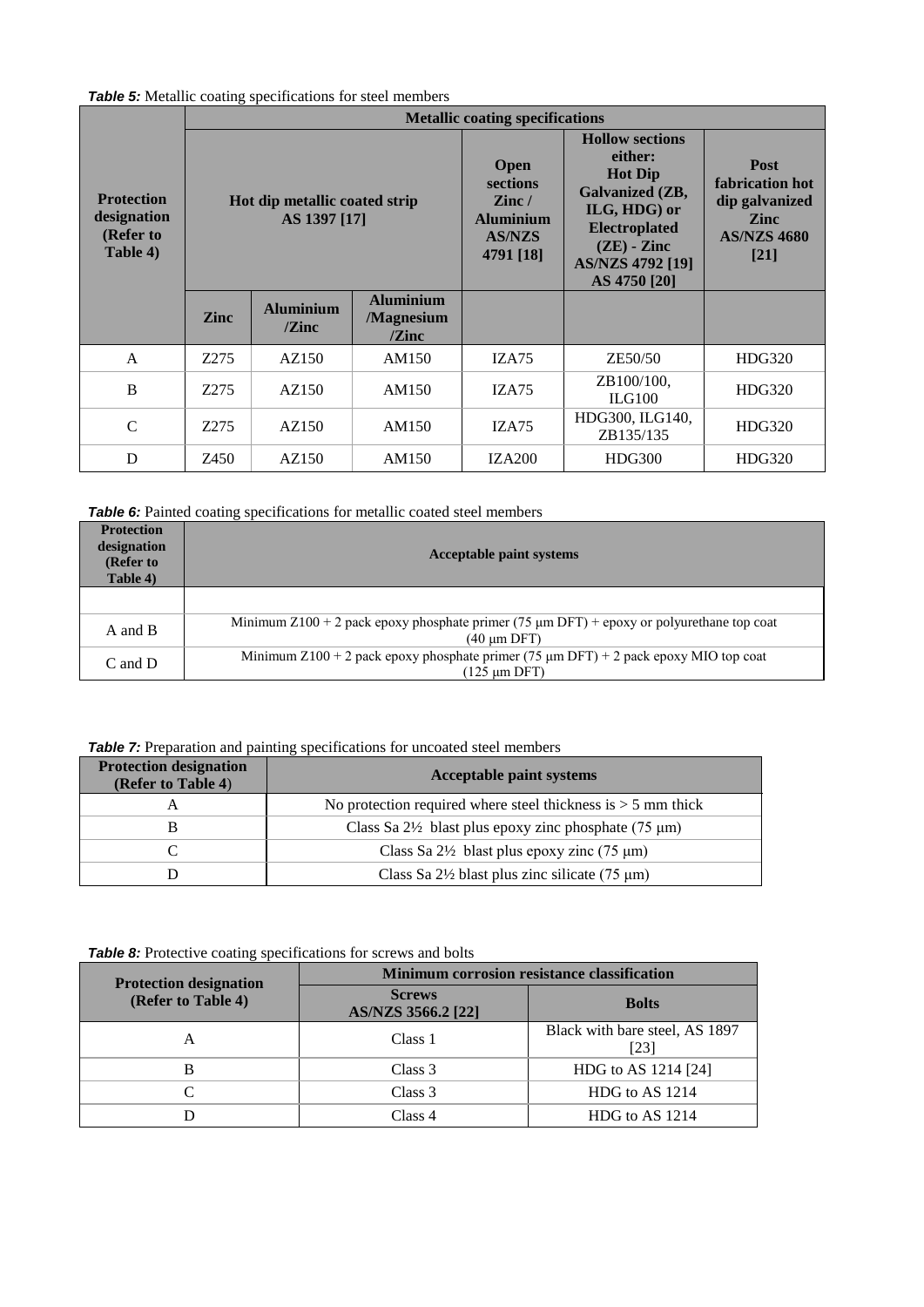*Table 5:* Metallic coating specifications for steel members

|                                                           | <b>Metallic coating specifications</b>        |                                      |                                                                                                 |                                                                                                                                                                            |                                                                                                 |        |
|-----------------------------------------------------------|-----------------------------------------------|--------------------------------------|-------------------------------------------------------------------------------------------------|----------------------------------------------------------------------------------------------------------------------------------------------------------------------------|-------------------------------------------------------------------------------------------------|--------|
| <b>Protection</b><br>designation<br>(Refer to<br>Table 4) | Hot dip metallic coated strip<br>AS 1397 [17] |                                      | <b>Open</b><br>sections<br>$\mathbf{Z}$ inc /<br><b>Aluminium</b><br><b>AS/NZS</b><br>4791 [18] | <b>Hollow sections</b><br>either:<br><b>Hot Dip</b><br>Galvanized (ZB,<br>ILG, HDG) or<br><b>Electroplated</b><br>$(ZE)$ - Zinc<br><b>AS/NZS 4792 [19]</b><br>AS 4750 [20] | <b>Post</b><br>fabrication hot<br>dip galvanized<br><b>Zinc</b><br><b>AS/NZS 4680</b><br>$[21]$ |        |
|                                                           | <b>Zinc</b>                                   | <b>Aluminium</b><br>$\mathbf{Z}$ inc | <b>Aluminium</b><br>/Magnesium<br>$\ell$ Zinc                                                   |                                                                                                                                                                            |                                                                                                 |        |
| $\mathsf{A}$                                              | Z275                                          | AZ150                                | AM150                                                                                           | IZA75                                                                                                                                                                      | ZE50/50                                                                                         | HDG320 |
| B                                                         | Z275                                          | AZ150                                | AM150                                                                                           | IZA75                                                                                                                                                                      | ZB100/100,<br>ILG100                                                                            | HDG320 |
| $\mathcal{C}$                                             | Z275                                          | AZ150                                | AM150                                                                                           | IZA75                                                                                                                                                                      | HDG300, ILG140,<br>ZB135/135                                                                    | HDG320 |
| D                                                         | Z450                                          | AZ150                                | AM150                                                                                           | <b>IZA200</b>                                                                                                                                                              | <b>HDG300</b>                                                                                   | HDG320 |

*Table 6:* Painted coating specifications for metallic coated steel members

| <b>Protection</b><br>designation<br>(Refer to<br>Table 4) | <b>Acceptable paint systems</b>                                                                                    |
|-----------------------------------------------------------|--------------------------------------------------------------------------------------------------------------------|
|                                                           |                                                                                                                    |
| A and B                                                   | Minimum Z100 + 2 pack epoxy phosphate primer (75 $\mu$ m DFT) + epoxy or polyurethane top coat<br>$(40 \mu m$ DFT) |
| $C$ and $D$                                               | Minimum Z100 + 2 pack epoxy phosphate primer (75 $\mu$ m DFT) + 2 pack epoxy MIO top coat<br>(125 µm DFT)          |

# **Table 7:** Preparation and painting specifications for uncoated steel members

| <b>Protection designation</b><br>(Refer to Table 4) | <b>Acceptable paint systems</b>                                 |  |
|-----------------------------------------------------|-----------------------------------------------------------------|--|
|                                                     | No protection required where steel thickness is $>$ 5 mm thick  |  |
|                                                     | Class Sa $2\frac{1}{2}$ blast plus epoxy zinc phosphate (75 µm) |  |
|                                                     | Class Sa $2\frac{1}{2}$ blast plus epoxy zinc (75 µm)           |  |
|                                                     | Class Sa $2\frac{1}{2}$ blast plus zinc silicate (75 µm)        |  |

*Table 8:* Protective coating specifications for screws and bolts

| <b>Protection designation</b> | Minimum corrosion resistance classification |                                        |  |
|-------------------------------|---------------------------------------------|----------------------------------------|--|
| (Refer to Table 4)            | <b>Screws</b><br>AS/NZS 3566.2 [22]         | <b>Bolts</b>                           |  |
| А                             | Class 1                                     | Black with bare steel, AS 1897<br>[23] |  |
| R                             | Class 3                                     | HDG to AS 1214 [24]                    |  |
|                               | Class 3                                     | HDG to AS 1214                         |  |
|                               | Class 4                                     | HDG to AS 1214                         |  |